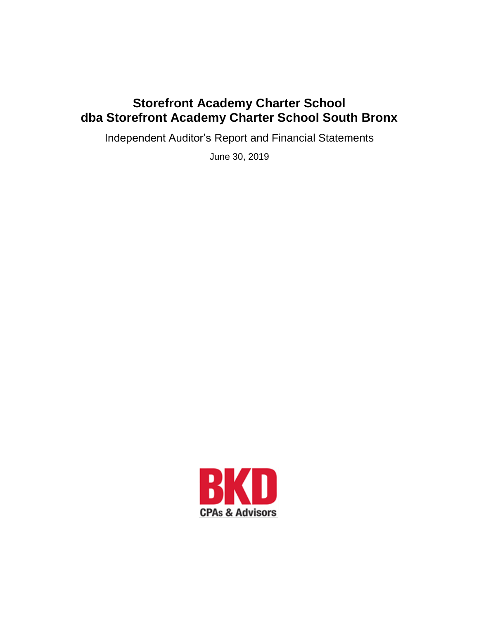Independent Auditor's Report and Financial Statements

June 30, 2019

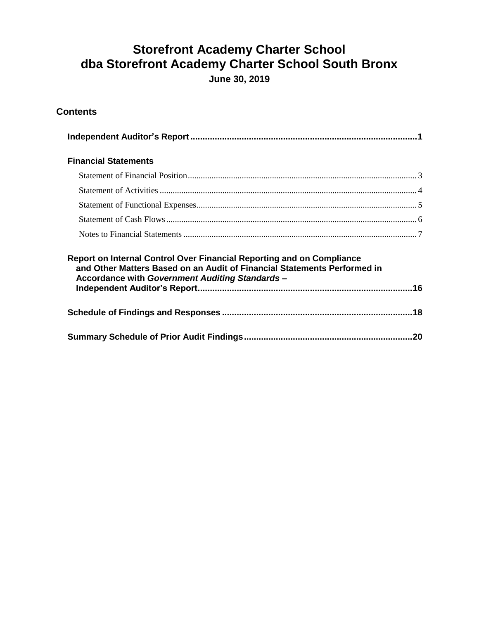**June 30, 2019**

# **Contents**

| <b>Financial Statements</b>                                                                                                                                                                                 |  |
|-------------------------------------------------------------------------------------------------------------------------------------------------------------------------------------------------------------|--|
|                                                                                                                                                                                                             |  |
|                                                                                                                                                                                                             |  |
|                                                                                                                                                                                                             |  |
|                                                                                                                                                                                                             |  |
|                                                                                                                                                                                                             |  |
| Report on Internal Control Over Financial Reporting and on Compliance<br>and Other Matters Based on an Audit of Financial Statements Performed in<br><b>Accordance with Government Auditing Standards -</b> |  |
|                                                                                                                                                                                                             |  |
|                                                                                                                                                                                                             |  |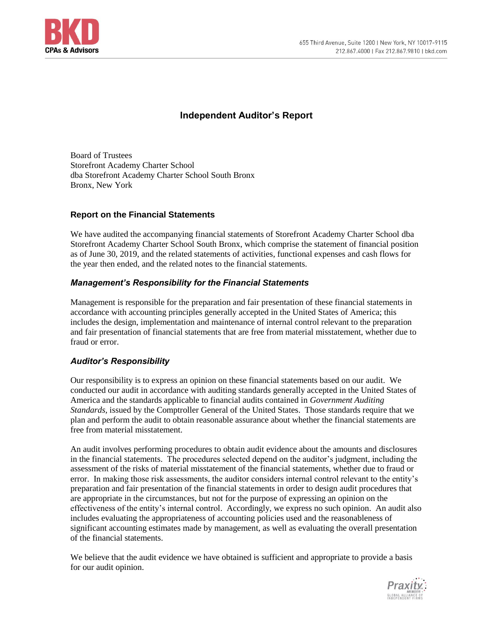<span id="page-2-0"></span>

# **Independent Auditor's Report**

Board of Trustees Storefront Academy Charter School dba Storefront Academy Charter School South Bronx Bronx, New York

### **Report on the Financial Statements**

We have audited the accompanying financial statements of Storefront Academy Charter School dba Storefront Academy Charter School South Bronx, which comprise the statement of financial position as of June 30, 2019, and the related statements of activities, functional expenses and cash flows for the year then ended, and the related notes to the financial statements.

### *Management's Responsibility for the Financial Statements*

Management is responsible for the preparation and fair presentation of these financial statements in accordance with accounting principles generally accepted in the United States of America; this includes the design, implementation and maintenance of internal control relevant to the preparation and fair presentation of financial statements that are free from material misstatement, whether due to fraud or error.

### *Auditor's Responsibility*

Our responsibility is to express an opinion on these financial statements based on our audit. We conducted our audit in accordance with auditing standards generally accepted in the United States of America and the standards applicable to financial audits contained in *Government Auditing Standards,* issued by the Comptroller General of the United States. Those standards require that we plan and perform the audit to obtain reasonable assurance about whether the financial statements are free from material misstatement.

An audit involves performing procedures to obtain audit evidence about the amounts and disclosures in the financial statements. The procedures selected depend on the auditor's judgment, including the assessment of the risks of material misstatement of the financial statements, whether due to fraud or error. In making those risk assessments, the auditor considers internal control relevant to the entity's preparation and fair presentation of the financial statements in order to design audit procedures that are appropriate in the circumstances, but not for the purpose of expressing an opinion on the effectiveness of the entity's internal control. Accordingly, we express no such opinion. An audit also includes evaluating the appropriateness of accounting policies used and the reasonableness of significant accounting estimates made by management, as well as evaluating the overall presentation of the financial statements.

We believe that the audit evidence we have obtained is sufficient and appropriate to provide a basis for our audit opinion.

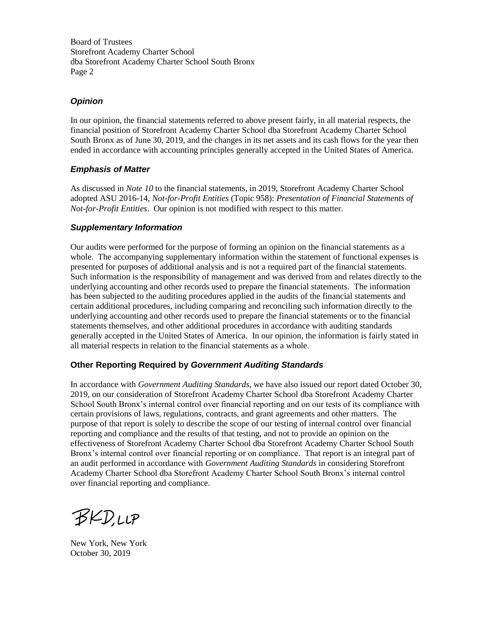Board of Trustees Storefront Academy Charter School dba Storefront Academy Charter School South Bronx Page 2

### *Opinion*

In our opinion, the financial statements referred to above present fairly, in all material respects, the financial position of Storefront Academy Charter School dba Storefront Academy Charter School South Bronx as of June 30, 2019, and the changes in its net assets and its cash flows for the year then ended in accordance with accounting principles generally accepted in the United States of America.

### *Emphasis of Matter*

As discussed in *Note 10* to the financial statements, in 2019, Storefront Academy Charter School adopted ASU 2016-14, *Not-for-Profit Entities* (Topic 958): *Presentation of Financial Statements of Not-for-Profit Entities*. Our opinion is not modified with respect to this matter.

### *Supplementary Information*

Our audits were performed for the purpose of forming an opinion on the financial statements as a whole. The accompanying supplementary information within the statement of functional expenses is presented for purposes of additional analysis and is not a required part of the financial statements. Such information is the responsibility of management and was derived from and relates directly to the underlying accounting and other records used to prepare the financial statements. The information has been subjected to the auditing procedures applied in the audits of the financial statements and certain additional procedures, including comparing and reconciling such information directly to the underlying accounting and other records used to prepare the financial statements or to the financial statements themselves, and other additional procedures in accordance with auditing standards generally accepted in the United States of America. In our opinion, the information is fairly stated in all material respects in relation to the financial statements as a whole.

# **Other Reporting Required by** *Government Auditing Standards*

In accordance with *Government Auditing Standards*, we have also issued our report dated October 30, 2019, on our consideration of Storefront Academy Charter School dba Storefront Academy Charter School South Bronx's internal control over financial reporting and on our tests of its compliance with certain provisions of laws, regulations, contracts, and grant agreements and other matters. The purpose of that report is solely to describe the scope of our testing of internal control over financial reporting and compliance and the results of that testing, and not to provide an opinion on the effectiveness of Storefront Academy Charter School dba Storefront Academy Charter School South Bronx's internal control over financial reporting or on compliance. That report is an integral part of an audit performed in accordance with *Government Auditing Standards* in considering Storefront Academy Charter School dba Storefront Academy Charter School South Bronx's internal control over financial reporting and compliance.

BKDUP

New York, New York October 30, 2019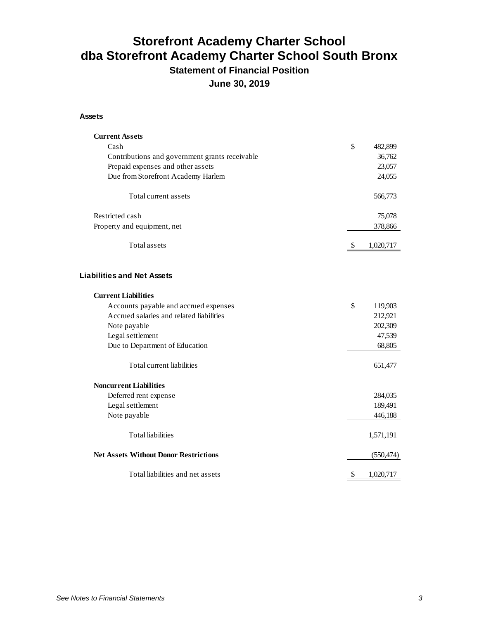# **Statement of Financial Position**

**June 30, 2019**

#### <span id="page-4-0"></span>**Assets**

| <b>Current Assets</b>                          |     |            |
|------------------------------------------------|-----|------------|
| Cash                                           | \$  | 482,899    |
| Contributions and government grants receivable |     | 36,762     |
| Prepaid expenses and other assets              |     | 23,057     |
| Due from Storefront Academy Harlem             |     | 24,055     |
| Total current assets                           |     | 566,773    |
| Restricted cash                                |     | 75,078     |
| Property and equipment, net                    |     | 378,866    |
| Total assets                                   | -\$ | 1,020,717  |
| <b>Liabilities and Net Assets</b>              |     |            |
| <b>Current Liabilities</b>                     |     |            |
| Accounts payable and accrued expenses          | \$  | 119,903    |
| Accrued salaries and related liabilities       |     | 212,921    |
| Note payable                                   |     | 202,309    |
| Legal settlement                               |     | 47,539     |
| Due to Department of Education                 |     | 68,805     |
| Total current liabilities                      |     | 651,477    |
| <b>Noncurrent Liabilities</b>                  |     |            |
| Deferred rent expense                          |     | 284,035    |
| Legal settlement                               |     | 189,491    |
| Note payable                                   |     | 446,188    |
| <b>Total liabilities</b>                       |     | 1,571,191  |
| <b>Net Assets Without Donor Restrictions</b>   |     | (550, 474) |
| Total liabilities and net assets               | \$  | 1,020,717  |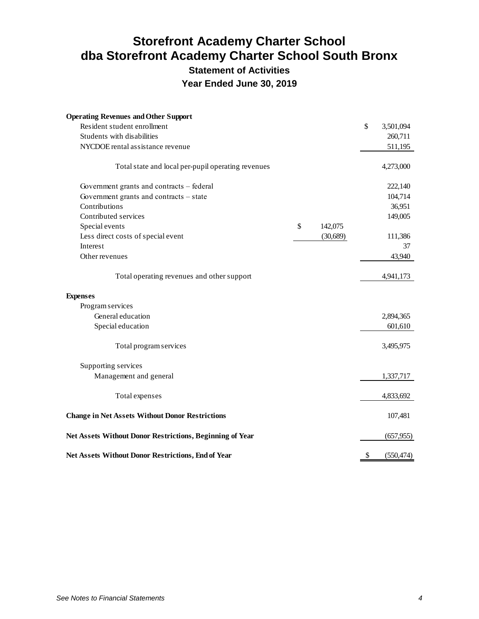**Statement of Activities Year Ended June 30, 2019**

<span id="page-5-0"></span>

| <b>Operating Revenues and Other Support</b>              |               |                  |
|----------------------------------------------------------|---------------|------------------|
| Resident student enrollment                              |               | \$<br>3,501,094  |
| Students with disabilities                               |               | 260,711          |
| NYCDOE rental assistance revenue                         |               | 511,195          |
| Total state and local per-pupil operating revenues       |               | 4,273,000        |
| Government grants and contracts - federal                |               | 222,140          |
| Government grants and contracts - state                  |               | 104,714          |
| Contributions                                            |               | 36,951           |
| Contributed services                                     |               | 149,005          |
| Special events                                           | \$<br>142,075 |                  |
| Less direct costs of special event                       | (30,689)      | 111,386          |
| Interest                                                 |               | 37               |
| Other revenues                                           |               | 43,940           |
| Total operating revenues and other support               |               | 4,941,173        |
| <b>Expenses</b>                                          |               |                  |
| Program services                                         |               |                  |
| General education                                        |               | 2,894,365        |
| Special education                                        |               | 601,610          |
| Total program services                                   |               | 3,495,975        |
| Supporting services                                      |               |                  |
| Management and general                                   |               | 1,337,717        |
| Total expenses                                           |               | 4,833,692        |
| <b>Change in Net Assets Without Donor Restrictions</b>   |               | 107,481          |
| Net Assets Without Donor Restrictions, Beginning of Year |               | (657, 955)       |
| Net Assets Without Donor Restrictions, End of Year       |               | \$<br>(550, 474) |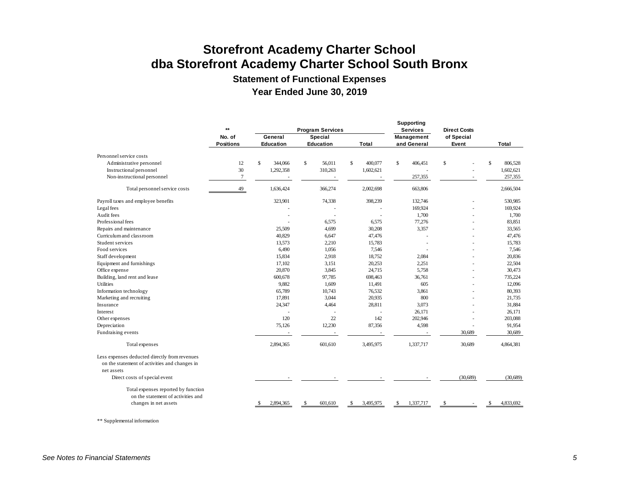# **Storefront Academy Charter School dba Storefront Academy Charter School South Bronx Statement of Functional Expenses**

# **Year Ended June 30, 2019**

<span id="page-6-0"></span>

| No. of<br>of Special<br>General<br>Special<br>Management<br><b>Positions</b><br><b>Education</b><br><b>Education</b><br>Total<br>and General<br>Total<br>Event<br>Personnel service costs<br>$\mathbf{s}$<br>\$<br>$\mathbb{S}$<br>Administrative personnel<br>12<br>344,066<br>56,011<br>400,077<br>\$<br>\$<br>$\mathbb{S}$<br>806,528<br>406.451<br>30<br>1,602,621<br>Instructional personnel<br>1,292,358<br>310,263<br>1,602,621<br>Non-instructional personnel<br>7<br>257,355<br>257,355<br>$\overline{\phantom{a}}$<br>$\overline{\phantom{a}}$<br>$\overline{\phantom{a}}$<br>1,636,424<br>2,002,698<br>49<br>366,274<br>663,806<br>2,666,504<br>Total personnel service costs<br>Payroll taxes and employee benefits<br>323,901<br>74,338<br>398,239<br>132,746<br>530,985<br>169,924<br>Legal fees<br>169,924<br>1,700<br>1,700<br>Audit fees<br>77,276<br>Professional fees<br>6,575<br>6,575<br>83,851<br>4,699<br>30,208<br>3,357<br>33,565<br>Repairs and maintenance<br>25,509<br>Curriculum and classroom<br>40,829<br>6,647<br>47,476<br>47,476<br>Student services<br>13,573<br>2,210<br>15,783<br>15,783<br>Food services<br>6,490<br>1,056<br>7,546<br>7,546<br>2,918<br>18,752<br>20,836<br>Staff development<br>15,834<br>2,084<br>20,253<br>2,251<br>22,504<br>Equipment and furnishings<br>17,102<br>3,151<br>Office expense<br>20,870<br>3,845<br>24,715<br>5,758<br>30,473<br>Building, land rent and lease<br>600,678<br>97,785<br>698,463<br>36,761<br>735,224<br>1,609<br><b>Utilities</b><br>9,882<br>11,491<br>605<br>12,096<br>80,393<br>Information technology<br>65,789<br>10,743<br>76,532<br>3,861<br>800<br>21,735<br>Marketing and recruiting<br>17.891<br>3.044<br>20.935<br>3,073<br>31,884<br>Insurance<br>24,347<br>4,464<br>28,811<br>26,171<br>26,171<br>Interest<br>120<br>22<br>142<br>203,088<br>202,946<br>Other expenses<br>Depreciation<br>75,126<br>12,230<br>87,356<br>4,598<br>91,954<br>Fundraising events<br>30,689<br>30,689<br>$\overline{\phantom{a}}$<br>$\sim$<br>$\sim$<br>2,894,365<br>3,495,975<br>1,337,717<br>Total expenses<br>601,610<br>30,689<br>4,864,381<br>Less expenses deducted directly from revenues<br>on the statement of activities and changes in<br>net assets<br>(30,689)<br>Direct costs of special event<br>(30,689)<br>Total expenses reported by function<br>on the statement of activities and<br>2,894,365<br>1,337,717<br>4,833,692<br>changes in net assets<br>601,610<br>3,495,975<br>\$<br>S<br>S<br>S<br>\$ | $***$ |  |  | <b>Program Services</b> |  |  |  | <b>Supporting</b><br><b>Services</b> |  | <b>Direct Costs</b> |  |
|------------------------------------------------------------------------------------------------------------------------------------------------------------------------------------------------------------------------------------------------------------------------------------------------------------------------------------------------------------------------------------------------------------------------------------------------------------------------------------------------------------------------------------------------------------------------------------------------------------------------------------------------------------------------------------------------------------------------------------------------------------------------------------------------------------------------------------------------------------------------------------------------------------------------------------------------------------------------------------------------------------------------------------------------------------------------------------------------------------------------------------------------------------------------------------------------------------------------------------------------------------------------------------------------------------------------------------------------------------------------------------------------------------------------------------------------------------------------------------------------------------------------------------------------------------------------------------------------------------------------------------------------------------------------------------------------------------------------------------------------------------------------------------------------------------------------------------------------------------------------------------------------------------------------------------------------------------------------------------------------------------------------------------------------------------------------------------------------------------------------------------------------------------------------------------------------------------------------------------------------------------------------------------------------------------------------------------------------------------------------------------------------------------------------------------------------------------------------------------------------------------|-------|--|--|-------------------------|--|--|--|--------------------------------------|--|---------------------|--|
|                                                                                                                                                                                                                                                                                                                                                                                                                                                                                                                                                                                                                                                                                                                                                                                                                                                                                                                                                                                                                                                                                                                                                                                                                                                                                                                                                                                                                                                                                                                                                                                                                                                                                                                                                                                                                                                                                                                                                                                                                                                                                                                                                                                                                                                                                                                                                                                                                                                                                                            |       |  |  |                         |  |  |  |                                      |  |                     |  |
|                                                                                                                                                                                                                                                                                                                                                                                                                                                                                                                                                                                                                                                                                                                                                                                                                                                                                                                                                                                                                                                                                                                                                                                                                                                                                                                                                                                                                                                                                                                                                                                                                                                                                                                                                                                                                                                                                                                                                                                                                                                                                                                                                                                                                                                                                                                                                                                                                                                                                                            |       |  |  |                         |  |  |  |                                      |  |                     |  |
|                                                                                                                                                                                                                                                                                                                                                                                                                                                                                                                                                                                                                                                                                                                                                                                                                                                                                                                                                                                                                                                                                                                                                                                                                                                                                                                                                                                                                                                                                                                                                                                                                                                                                                                                                                                                                                                                                                                                                                                                                                                                                                                                                                                                                                                                                                                                                                                                                                                                                                            |       |  |  |                         |  |  |  |                                      |  |                     |  |
|                                                                                                                                                                                                                                                                                                                                                                                                                                                                                                                                                                                                                                                                                                                                                                                                                                                                                                                                                                                                                                                                                                                                                                                                                                                                                                                                                                                                                                                                                                                                                                                                                                                                                                                                                                                                                                                                                                                                                                                                                                                                                                                                                                                                                                                                                                                                                                                                                                                                                                            |       |  |  |                         |  |  |  |                                      |  |                     |  |
|                                                                                                                                                                                                                                                                                                                                                                                                                                                                                                                                                                                                                                                                                                                                                                                                                                                                                                                                                                                                                                                                                                                                                                                                                                                                                                                                                                                                                                                                                                                                                                                                                                                                                                                                                                                                                                                                                                                                                                                                                                                                                                                                                                                                                                                                                                                                                                                                                                                                                                            |       |  |  |                         |  |  |  |                                      |  |                     |  |
|                                                                                                                                                                                                                                                                                                                                                                                                                                                                                                                                                                                                                                                                                                                                                                                                                                                                                                                                                                                                                                                                                                                                                                                                                                                                                                                                                                                                                                                                                                                                                                                                                                                                                                                                                                                                                                                                                                                                                                                                                                                                                                                                                                                                                                                                                                                                                                                                                                                                                                            |       |  |  |                         |  |  |  |                                      |  |                     |  |
|                                                                                                                                                                                                                                                                                                                                                                                                                                                                                                                                                                                                                                                                                                                                                                                                                                                                                                                                                                                                                                                                                                                                                                                                                                                                                                                                                                                                                                                                                                                                                                                                                                                                                                                                                                                                                                                                                                                                                                                                                                                                                                                                                                                                                                                                                                                                                                                                                                                                                                            |       |  |  |                         |  |  |  |                                      |  |                     |  |
|                                                                                                                                                                                                                                                                                                                                                                                                                                                                                                                                                                                                                                                                                                                                                                                                                                                                                                                                                                                                                                                                                                                                                                                                                                                                                                                                                                                                                                                                                                                                                                                                                                                                                                                                                                                                                                                                                                                                                                                                                                                                                                                                                                                                                                                                                                                                                                                                                                                                                                            |       |  |  |                         |  |  |  |                                      |  |                     |  |
|                                                                                                                                                                                                                                                                                                                                                                                                                                                                                                                                                                                                                                                                                                                                                                                                                                                                                                                                                                                                                                                                                                                                                                                                                                                                                                                                                                                                                                                                                                                                                                                                                                                                                                                                                                                                                                                                                                                                                                                                                                                                                                                                                                                                                                                                                                                                                                                                                                                                                                            |       |  |  |                         |  |  |  |                                      |  |                     |  |
|                                                                                                                                                                                                                                                                                                                                                                                                                                                                                                                                                                                                                                                                                                                                                                                                                                                                                                                                                                                                                                                                                                                                                                                                                                                                                                                                                                                                                                                                                                                                                                                                                                                                                                                                                                                                                                                                                                                                                                                                                                                                                                                                                                                                                                                                                                                                                                                                                                                                                                            |       |  |  |                         |  |  |  |                                      |  |                     |  |
|                                                                                                                                                                                                                                                                                                                                                                                                                                                                                                                                                                                                                                                                                                                                                                                                                                                                                                                                                                                                                                                                                                                                                                                                                                                                                                                                                                                                                                                                                                                                                                                                                                                                                                                                                                                                                                                                                                                                                                                                                                                                                                                                                                                                                                                                                                                                                                                                                                                                                                            |       |  |  |                         |  |  |  |                                      |  |                     |  |
|                                                                                                                                                                                                                                                                                                                                                                                                                                                                                                                                                                                                                                                                                                                                                                                                                                                                                                                                                                                                                                                                                                                                                                                                                                                                                                                                                                                                                                                                                                                                                                                                                                                                                                                                                                                                                                                                                                                                                                                                                                                                                                                                                                                                                                                                                                                                                                                                                                                                                                            |       |  |  |                         |  |  |  |                                      |  |                     |  |
|                                                                                                                                                                                                                                                                                                                                                                                                                                                                                                                                                                                                                                                                                                                                                                                                                                                                                                                                                                                                                                                                                                                                                                                                                                                                                                                                                                                                                                                                                                                                                                                                                                                                                                                                                                                                                                                                                                                                                                                                                                                                                                                                                                                                                                                                                                                                                                                                                                                                                                            |       |  |  |                         |  |  |  |                                      |  |                     |  |
|                                                                                                                                                                                                                                                                                                                                                                                                                                                                                                                                                                                                                                                                                                                                                                                                                                                                                                                                                                                                                                                                                                                                                                                                                                                                                                                                                                                                                                                                                                                                                                                                                                                                                                                                                                                                                                                                                                                                                                                                                                                                                                                                                                                                                                                                                                                                                                                                                                                                                                            |       |  |  |                         |  |  |  |                                      |  |                     |  |
|                                                                                                                                                                                                                                                                                                                                                                                                                                                                                                                                                                                                                                                                                                                                                                                                                                                                                                                                                                                                                                                                                                                                                                                                                                                                                                                                                                                                                                                                                                                                                                                                                                                                                                                                                                                                                                                                                                                                                                                                                                                                                                                                                                                                                                                                                                                                                                                                                                                                                                            |       |  |  |                         |  |  |  |                                      |  |                     |  |
|                                                                                                                                                                                                                                                                                                                                                                                                                                                                                                                                                                                                                                                                                                                                                                                                                                                                                                                                                                                                                                                                                                                                                                                                                                                                                                                                                                                                                                                                                                                                                                                                                                                                                                                                                                                                                                                                                                                                                                                                                                                                                                                                                                                                                                                                                                                                                                                                                                                                                                            |       |  |  |                         |  |  |  |                                      |  |                     |  |
|                                                                                                                                                                                                                                                                                                                                                                                                                                                                                                                                                                                                                                                                                                                                                                                                                                                                                                                                                                                                                                                                                                                                                                                                                                                                                                                                                                                                                                                                                                                                                                                                                                                                                                                                                                                                                                                                                                                                                                                                                                                                                                                                                                                                                                                                                                                                                                                                                                                                                                            |       |  |  |                         |  |  |  |                                      |  |                     |  |
|                                                                                                                                                                                                                                                                                                                                                                                                                                                                                                                                                                                                                                                                                                                                                                                                                                                                                                                                                                                                                                                                                                                                                                                                                                                                                                                                                                                                                                                                                                                                                                                                                                                                                                                                                                                                                                                                                                                                                                                                                                                                                                                                                                                                                                                                                                                                                                                                                                                                                                            |       |  |  |                         |  |  |  |                                      |  |                     |  |
|                                                                                                                                                                                                                                                                                                                                                                                                                                                                                                                                                                                                                                                                                                                                                                                                                                                                                                                                                                                                                                                                                                                                                                                                                                                                                                                                                                                                                                                                                                                                                                                                                                                                                                                                                                                                                                                                                                                                                                                                                                                                                                                                                                                                                                                                                                                                                                                                                                                                                                            |       |  |  |                         |  |  |  |                                      |  |                     |  |
|                                                                                                                                                                                                                                                                                                                                                                                                                                                                                                                                                                                                                                                                                                                                                                                                                                                                                                                                                                                                                                                                                                                                                                                                                                                                                                                                                                                                                                                                                                                                                                                                                                                                                                                                                                                                                                                                                                                                                                                                                                                                                                                                                                                                                                                                                                                                                                                                                                                                                                            |       |  |  |                         |  |  |  |                                      |  |                     |  |
|                                                                                                                                                                                                                                                                                                                                                                                                                                                                                                                                                                                                                                                                                                                                                                                                                                                                                                                                                                                                                                                                                                                                                                                                                                                                                                                                                                                                                                                                                                                                                                                                                                                                                                                                                                                                                                                                                                                                                                                                                                                                                                                                                                                                                                                                                                                                                                                                                                                                                                            |       |  |  |                         |  |  |  |                                      |  |                     |  |
|                                                                                                                                                                                                                                                                                                                                                                                                                                                                                                                                                                                                                                                                                                                                                                                                                                                                                                                                                                                                                                                                                                                                                                                                                                                                                                                                                                                                                                                                                                                                                                                                                                                                                                                                                                                                                                                                                                                                                                                                                                                                                                                                                                                                                                                                                                                                                                                                                                                                                                            |       |  |  |                         |  |  |  |                                      |  |                     |  |
|                                                                                                                                                                                                                                                                                                                                                                                                                                                                                                                                                                                                                                                                                                                                                                                                                                                                                                                                                                                                                                                                                                                                                                                                                                                                                                                                                                                                                                                                                                                                                                                                                                                                                                                                                                                                                                                                                                                                                                                                                                                                                                                                                                                                                                                                                                                                                                                                                                                                                                            |       |  |  |                         |  |  |  |                                      |  |                     |  |
|                                                                                                                                                                                                                                                                                                                                                                                                                                                                                                                                                                                                                                                                                                                                                                                                                                                                                                                                                                                                                                                                                                                                                                                                                                                                                                                                                                                                                                                                                                                                                                                                                                                                                                                                                                                                                                                                                                                                                                                                                                                                                                                                                                                                                                                                                                                                                                                                                                                                                                            |       |  |  |                         |  |  |  |                                      |  |                     |  |
|                                                                                                                                                                                                                                                                                                                                                                                                                                                                                                                                                                                                                                                                                                                                                                                                                                                                                                                                                                                                                                                                                                                                                                                                                                                                                                                                                                                                                                                                                                                                                                                                                                                                                                                                                                                                                                                                                                                                                                                                                                                                                                                                                                                                                                                                                                                                                                                                                                                                                                            |       |  |  |                         |  |  |  |                                      |  |                     |  |
|                                                                                                                                                                                                                                                                                                                                                                                                                                                                                                                                                                                                                                                                                                                                                                                                                                                                                                                                                                                                                                                                                                                                                                                                                                                                                                                                                                                                                                                                                                                                                                                                                                                                                                                                                                                                                                                                                                                                                                                                                                                                                                                                                                                                                                                                                                                                                                                                                                                                                                            |       |  |  |                         |  |  |  |                                      |  |                     |  |
|                                                                                                                                                                                                                                                                                                                                                                                                                                                                                                                                                                                                                                                                                                                                                                                                                                                                                                                                                                                                                                                                                                                                                                                                                                                                                                                                                                                                                                                                                                                                                                                                                                                                                                                                                                                                                                                                                                                                                                                                                                                                                                                                                                                                                                                                                                                                                                                                                                                                                                            |       |  |  |                         |  |  |  |                                      |  |                     |  |
|                                                                                                                                                                                                                                                                                                                                                                                                                                                                                                                                                                                                                                                                                                                                                                                                                                                                                                                                                                                                                                                                                                                                                                                                                                                                                                                                                                                                                                                                                                                                                                                                                                                                                                                                                                                                                                                                                                                                                                                                                                                                                                                                                                                                                                                                                                                                                                                                                                                                                                            |       |  |  |                         |  |  |  |                                      |  |                     |  |
|                                                                                                                                                                                                                                                                                                                                                                                                                                                                                                                                                                                                                                                                                                                                                                                                                                                                                                                                                                                                                                                                                                                                                                                                                                                                                                                                                                                                                                                                                                                                                                                                                                                                                                                                                                                                                                                                                                                                                                                                                                                                                                                                                                                                                                                                                                                                                                                                                                                                                                            |       |  |  |                         |  |  |  |                                      |  |                     |  |
|                                                                                                                                                                                                                                                                                                                                                                                                                                                                                                                                                                                                                                                                                                                                                                                                                                                                                                                                                                                                                                                                                                                                                                                                                                                                                                                                                                                                                                                                                                                                                                                                                                                                                                                                                                                                                                                                                                                                                                                                                                                                                                                                                                                                                                                                                                                                                                                                                                                                                                            |       |  |  |                         |  |  |  |                                      |  |                     |  |
|                                                                                                                                                                                                                                                                                                                                                                                                                                                                                                                                                                                                                                                                                                                                                                                                                                                                                                                                                                                                                                                                                                                                                                                                                                                                                                                                                                                                                                                                                                                                                                                                                                                                                                                                                                                                                                                                                                                                                                                                                                                                                                                                                                                                                                                                                                                                                                                                                                                                                                            |       |  |  |                         |  |  |  |                                      |  |                     |  |
|                                                                                                                                                                                                                                                                                                                                                                                                                                                                                                                                                                                                                                                                                                                                                                                                                                                                                                                                                                                                                                                                                                                                                                                                                                                                                                                                                                                                                                                                                                                                                                                                                                                                                                                                                                                                                                                                                                                                                                                                                                                                                                                                                                                                                                                                                                                                                                                                                                                                                                            |       |  |  |                         |  |  |  |                                      |  |                     |  |
|                                                                                                                                                                                                                                                                                                                                                                                                                                                                                                                                                                                                                                                                                                                                                                                                                                                                                                                                                                                                                                                                                                                                                                                                                                                                                                                                                                                                                                                                                                                                                                                                                                                                                                                                                                                                                                                                                                                                                                                                                                                                                                                                                                                                                                                                                                                                                                                                                                                                                                            |       |  |  |                         |  |  |  |                                      |  |                     |  |
|                                                                                                                                                                                                                                                                                                                                                                                                                                                                                                                                                                                                                                                                                                                                                                                                                                                                                                                                                                                                                                                                                                                                                                                                                                                                                                                                                                                                                                                                                                                                                                                                                                                                                                                                                                                                                                                                                                                                                                                                                                                                                                                                                                                                                                                                                                                                                                                                                                                                                                            |       |  |  |                         |  |  |  |                                      |  |                     |  |
|                                                                                                                                                                                                                                                                                                                                                                                                                                                                                                                                                                                                                                                                                                                                                                                                                                                                                                                                                                                                                                                                                                                                                                                                                                                                                                                                                                                                                                                                                                                                                                                                                                                                                                                                                                                                                                                                                                                                                                                                                                                                                                                                                                                                                                                                                                                                                                                                                                                                                                            |       |  |  |                         |  |  |  |                                      |  |                     |  |

\*\* Supplemental information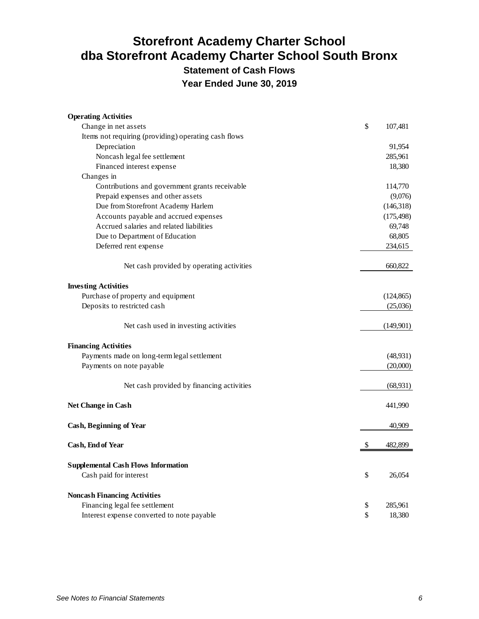**Statement of Cash Flows Year Ended June 30, 2019**

<span id="page-7-0"></span>

| <b>Operating Activities</b>                          |               |
|------------------------------------------------------|---------------|
| Change in net assets                                 | \$<br>107,481 |
| Items not requiring (providing) operating cash flows |               |
| Depreciation                                         | 91,954        |
| Noncash legal fee settlement                         | 285,961       |
| Financed interest expense                            | 18,380        |
| Changes in                                           |               |
| Contributions and government grants receivable       | 114,770       |
| Prepaid expenses and other assets                    | (9,076)       |
| Due from Storefront Academy Harlem                   | (146,318)     |
| Accounts payable and accrued expenses                | (175, 498)    |
| Accrued salaries and related liabilities             | 69,748        |
| Due to Department of Education                       | 68,805        |
| Deferred rent expense                                | 234,615       |
| Net cash provided by operating activities            | 660,822       |
| <b>Investing Activities</b>                          |               |
| Purchase of property and equipment                   | (124, 865)    |
| Deposits to restricted cash                          | (25,036)      |
| Net cash used in investing activities                | (149,901)     |
| <b>Financing Activities</b>                          |               |
| Payments made on long-term legal settlement          | (48, 931)     |
| Payments on note payable                             | (20,000)      |
| Net cash provided by financing activities            | (68, 931)     |
| <b>Net Change in Cash</b>                            | 441,990       |
| <b>Cash, Beginning of Year</b>                       | 40,909        |
| Cash, End of Year                                    | \$<br>482,899 |
| <b>Supplemental Cash Flows Information</b>           |               |
| Cash paid for interest                               | \$<br>26,054  |
| <b>Noncash Financing Activities</b>                  |               |
| Financing legal fee settlement                       | \$<br>285,961 |
| Interest expense converted to note payable           | \$<br>18,380  |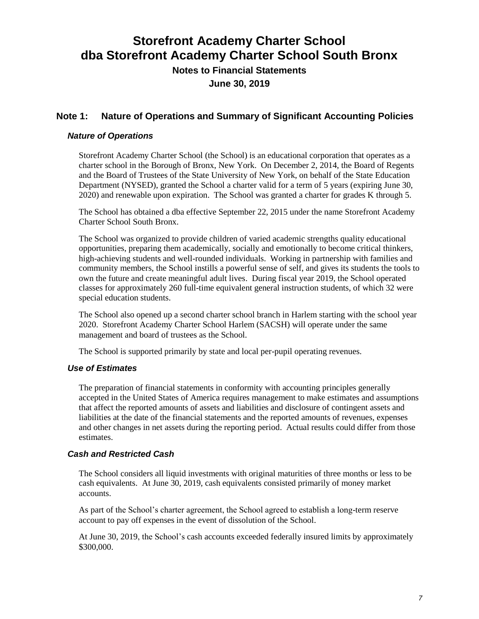**Notes to Financial Statements**

**June 30, 2019**

# <span id="page-8-0"></span>**Note 1: Nature of Operations and Summary of Significant Accounting Policies**

### *Nature of Operations*

Storefront Academy Charter School (the School) is an educational corporation that operates as a charter school in the Borough of Bronx, New York. On December 2, 2014, the Board of Regents and the Board of Trustees of the State University of New York, on behalf of the State Education Department (NYSED), granted the School a charter valid for a term of 5 years (expiring June 30, 2020) and renewable upon expiration. The School was granted a charter for grades K through 5.

The School has obtained a dba effective September 22, 2015 under the name Storefront Academy Charter School South Bronx.

The School was organized to provide children of varied academic strengths quality educational opportunities, preparing them academically, socially and emotionally to become critical thinkers, high-achieving students and well-rounded individuals. Working in partnership with families and community members, the School instills a powerful sense of self, and gives its students the tools to own the future and create meaningful adult lives. During fiscal year 2019, the School operated classes for approximately 260 full-time equivalent general instruction students, of which 32 were special education students.

The School also opened up a second charter school branch in Harlem starting with the school year 2020. Storefront Academy Charter School Harlem (SACSH) will operate under the same management and board of trustees as the School.

The School is supported primarily by state and local per-pupil operating revenues.

### *Use of Estimates*

The preparation of financial statements in conformity with accounting principles generally accepted in the United States of America requires management to make estimates and assumptions that affect the reported amounts of assets and liabilities and disclosure of contingent assets and liabilities at the date of the financial statements and the reported amounts of revenues, expenses and other changes in net assets during the reporting period. Actual results could differ from those estimates.

### *Cash and Restricted Cash*

The School considers all liquid investments with original maturities of three months or less to be cash equivalents. At June 30, 2019, cash equivalents consisted primarily of money market accounts.

As part of the School's charter agreement, the School agreed to establish a long-term reserve account to pay off expenses in the event of dissolution of the School.

At June 30, 2019, the School's cash accounts exceeded federally insured limits by approximately \$300,000.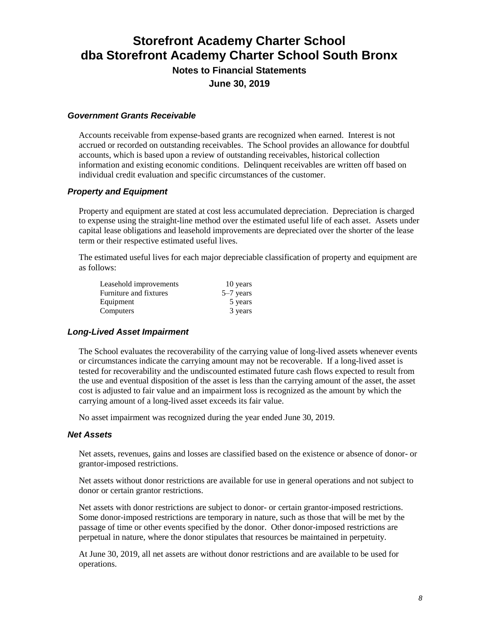# **Storefront Academy Charter School dba Storefront Academy Charter School South Bronx Notes to Financial Statements**

**June 30, 2019**

#### *Government Grants Receivable*

Accounts receivable from expense-based grants are recognized when earned. Interest is not accrued or recorded on outstanding receivables. The School provides an allowance for doubtful accounts, which is based upon a review of outstanding receivables, historical collection information and existing economic conditions. Delinquent receivables are written off based on individual credit evaluation and specific circumstances of the customer.

### *Property and Equipment*

Property and equipment are stated at cost less accumulated depreciation. Depreciation is charged to expense using the straight-line method over the estimated useful life of each asset. Assets under capital lease obligations and leasehold improvements are depreciated over the shorter of the lease term or their respective estimated useful lives.

The estimated useful lives for each major depreciable classification of property and equipment are as follows:

| Leasehold improvements | 10 years    |
|------------------------|-------------|
| Furniture and fixtures | $5-7$ years |
| Equipment              | 5 years     |
| Computers              | 3 years     |

#### *Long-Lived Asset Impairment*

The School evaluates the recoverability of the carrying value of long-lived assets whenever events or circumstances indicate the carrying amount may not be recoverable. If a long-lived asset is tested for recoverability and the undiscounted estimated future cash flows expected to result from the use and eventual disposition of the asset is less than the carrying amount of the asset, the asset cost is adjusted to fair value and an impairment loss is recognized as the amount by which the carrying amount of a long-lived asset exceeds its fair value.

No asset impairment was recognized during the year ended June 30, 2019.

#### *Net Assets*

Net assets, revenues, gains and losses are classified based on the existence or absence of donor- or grantor-imposed restrictions.

Net assets without donor restrictions are available for use in general operations and not subject to donor or certain grantor restrictions.

Net assets with donor restrictions are subject to donor- or certain grantor-imposed restrictions. Some donor-imposed restrictions are temporary in nature, such as those that will be met by the passage of time or other events specified by the donor. Other donor-imposed restrictions are perpetual in nature, where the donor stipulates that resources be maintained in perpetuity.

At June 30, 2019, all net assets are without donor restrictions and are available to be used for operations.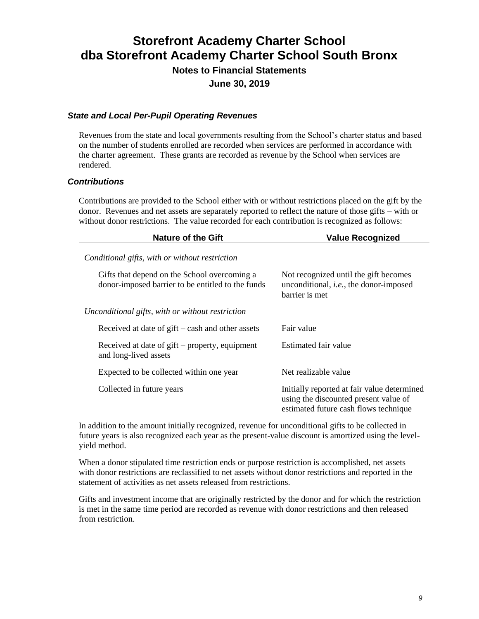**Notes to Financial Statements**

**June 30, 2019**

#### *State and Local Per-Pupil Operating Revenues*

Revenues from the state and local governments resulting from the School's charter status and based on the number of students enrolled are recorded when services are performed in accordance with the charter agreement. These grants are recorded as revenue by the School when services are rendered.

#### *Contributions*

Contributions are provided to the School either with or without restrictions placed on the gift by the donor. Revenues and net assets are separately reported to reflect the nature of those gifts – with or without donor restrictions. The value recorded for each contribution is recognized as follows:

| <b>Nature of the Gift</b>                                                                         | <b>Value Recognized</b>                                                                                                       |
|---------------------------------------------------------------------------------------------------|-------------------------------------------------------------------------------------------------------------------------------|
| Conditional gifts, with or without restriction                                                    |                                                                                                                               |
| Gifts that depend on the School overcoming a<br>donor-imposed barrier to be entitled to the funds | Not recognized until the gift becomes<br>unconditional, <i>i.e.</i> , the donor-imposed<br>barrier is met                     |
| Unconditional gifts, with or without restriction                                                  |                                                                                                                               |
| Received at date of $g$ ift $-\cosh$ and other assets                                             | Fair value                                                                                                                    |
| Received at date of gift – property, equipment<br>and long-lived assets                           | Estimated fair value                                                                                                          |
| Expected to be collected within one year                                                          | Net realizable value                                                                                                          |
| Collected in future years                                                                         | Initially reported at fair value determined<br>using the discounted present value of<br>estimated future cash flows technique |

In addition to the amount initially recognized, revenue for unconditional gifts to be collected in future years is also recognized each year as the present-value discount is amortized using the levelyield method.

When a donor stipulated time restriction ends or purpose restriction is accomplished, net assets with donor restrictions are reclassified to net assets without donor restrictions and reported in the statement of activities as net assets released from restrictions.

Gifts and investment income that are originally restricted by the donor and for which the restriction is met in the same time period are recorded as revenue with donor restrictions and then released from restriction.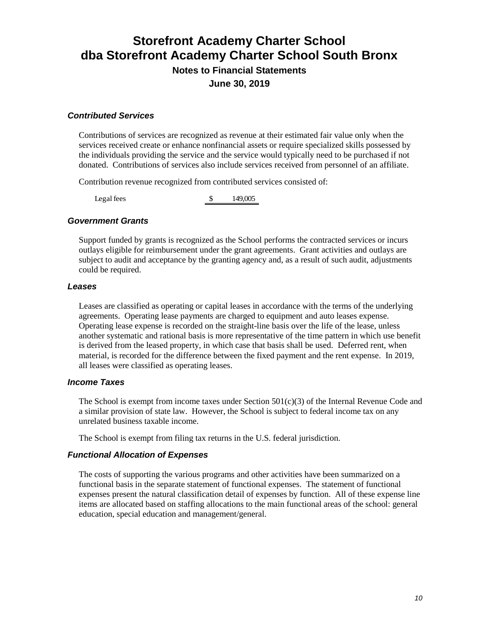# **Storefront Academy Charter School dba Storefront Academy Charter School South Bronx Notes to Financial Statements June 30, 2019**

#### *Contributed Services*

Contributions of services are recognized as revenue at their estimated fair value only when the services received create or enhance nonfinancial assets or require specialized skills possessed by the individuals providing the service and the service would typically need to be purchased if not donated. Contributions of services also include services received from personnel of an affiliate.

Contribution revenue recognized from contributed services consisted of:

Legal fees  $\qquad$  \$ 149,005

### *Government Grants*

Support funded by grants is recognized as the School performs the contracted services or incurs outlays eligible for reimbursement under the grant agreements. Grant activities and outlays are subject to audit and acceptance by the granting agency and, as a result of such audit, adjustments could be required.

#### *Leases*

Leases are classified as operating or capital leases in accordance with the terms of the underlying agreements. Operating lease payments are charged to equipment and auto leases expense. Operating lease expense is recorded on the straight-line basis over the life of the lease, unless another systematic and rational basis is more representative of the time pattern in which use benefit is derived from the leased property, in which case that basis shall be used. Deferred rent, when material, is recorded for the difference between the fixed payment and the rent expense. In 2019, all leases were classified as operating leases.

#### *Income Taxes*

The School is exempt from income taxes under Section  $501(c)(3)$  of the Internal Revenue Code and a similar provision of state law. However, the School is subject to federal income tax on any unrelated business taxable income.

The School is exempt from filing tax returns in the U.S. federal jurisdiction.

#### *Functional Allocation of Expenses*

The costs of supporting the various programs and other activities have been summarized on a functional basis in the separate statement of functional expenses. The statement of functional expenses present the natural classification detail of expenses by function. All of these expense line items are allocated based on staffing allocations to the main functional areas of the school: general education, special education and management/general.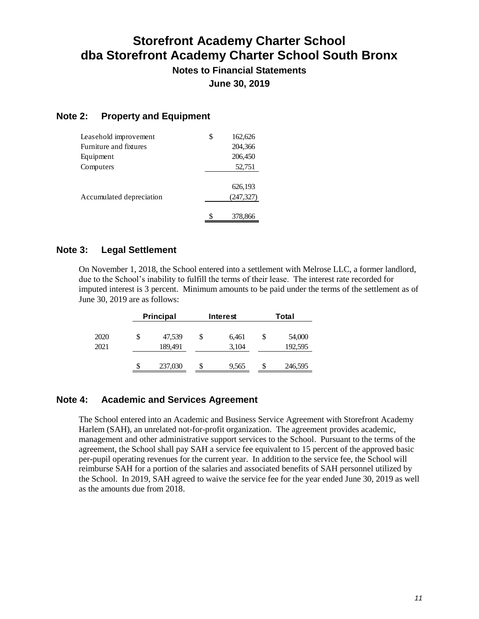# **Notes to Financial Statements**

**June 30, 2019**

# **Note 2: Property and Equipment**

| Leasehold improvement    | \$<br>162,626 |
|--------------------------|---------------|
| Furniture and fixtures   | 204,366       |
| Equipment                | 206,450       |
| Computers                | 52,751        |
|                          |               |
|                          | 626,193       |
| Accumulated depreciation | (247, 327)    |
|                          |               |
|                          | 378,866       |

### **Note 3: Legal Settlement**

On November 1, 2018, the School entered into a settlement with Melrose LLC, a former landlord, due to the School's inability to fulfill the terms of their lease. The interest rate recorded for imputed interest is 3 percent. Minimum amounts to be paid under the terms of the settlement as of June 30, 2019 are as follows:

|      |    | <b>Principal</b> |   | Interest |    |         |  | Total |  |  |
|------|----|------------------|---|----------|----|---------|--|-------|--|--|
| 2020 | \$ | 47,539           |   | 6,461    | \$ | 54,000  |  |       |  |  |
| 2021 |    | 189,491          |   | 3,104    |    | 192,595 |  |       |  |  |
|      | \$ | 237,030          | S | 9,565    | S  | 246,595 |  |       |  |  |

# **Note 4: Academic and Services Agreement**

The School entered into an Academic and Business Service Agreement with Storefront Academy Harlem (SAH), an unrelated not-for-profit organization. The agreement provides academic, management and other administrative support services to the School. Pursuant to the terms of the agreement, the School shall pay SAH a service fee equivalent to 15 percent of the approved basic per-pupil operating revenues for the current year. In addition to the service fee, the School will reimburse SAH for a portion of the salaries and associated benefits of SAH personnel utilized by the School. In 2019, SAH agreed to waive the service fee for the year ended June 30, 2019 as well as the amounts due from 2018.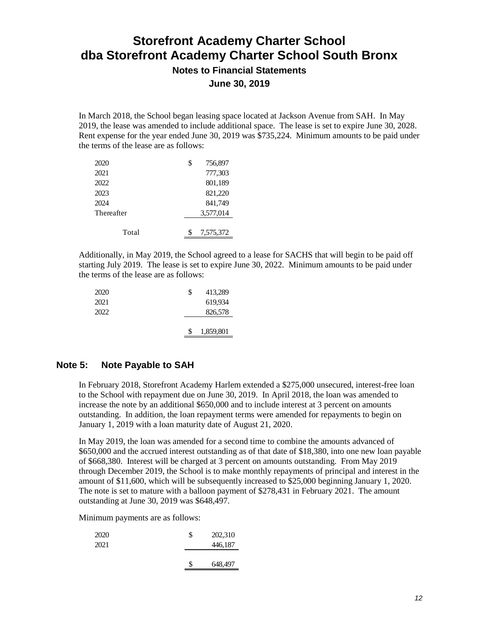# **Notes to Financial Statements**

**June 30, 2019**

In March 2018, the School began leasing space located at Jackson Avenue from SAH. In May 2019, the lease was amended to include additional space. The lease is set to expire June 30, 2028. Rent expense for the year ended June 30, 2019 was \$735,224. Minimum amounts to be paid under the terms of the lease are as follows:

| 2020       | \$<br>756,897 |
|------------|---------------|
| 2021       | 777,303       |
| 2022       | 801,189       |
| 2023       | 821,220       |
| 2024       | 841,749       |
| Thereafter | 3,577,014     |
|            |               |
| Total      | 7,575,372     |

Additionally, in May 2019, the School agreed to a lease for SACHS that will begin to be paid off starting July 2019. The lease is set to expire June 30, 2022. Minimum amounts to be paid under the terms of the lease are as follows:

| 2020 | S  | 413,289   |
|------|----|-----------|
| 2021 |    | 619,934   |
| 2022 |    | 826,578   |
|      |    |           |
|      | \$ | 1,859,801 |

# **Note 5: Note Payable to SAH**

In February 2018, Storefront Academy Harlem extended a \$275,000 unsecured, interest-free loan to the School with repayment due on June 30, 2019. In April 2018, the loan was amended to increase the note by an additional \$650,000 and to include interest at 3 percent on amounts outstanding. In addition, the loan repayment terms were amended for repayments to begin on January 1, 2019 with a loan maturity date of August 21, 2020.

In May 2019, the loan was amended for a second time to combine the amounts advanced of \$650,000 and the accrued interest outstanding as of that date of \$18,380, into one new loan payable of \$668,380. Interest will be charged at 3 percent on amounts outstanding. From May 2019 through December 2019, the School is to make monthly repayments of principal and interest in the amount of \$11,600, which will be subsequently increased to \$25,000 beginning January 1, 2020. The note is set to mature with a balloon payment of \$278,431 in February 2021. The amount outstanding at June 30, 2019 was \$648,497.

Minimum payments are as follows:

| 2020<br>2021 | \$                       | 202,310<br>446,187          |
|--------------|--------------------------|-----------------------------|
|              | $\overline{\phantom{a}}$ | $\sim$ $\sim$ $\sim$ $\sim$ |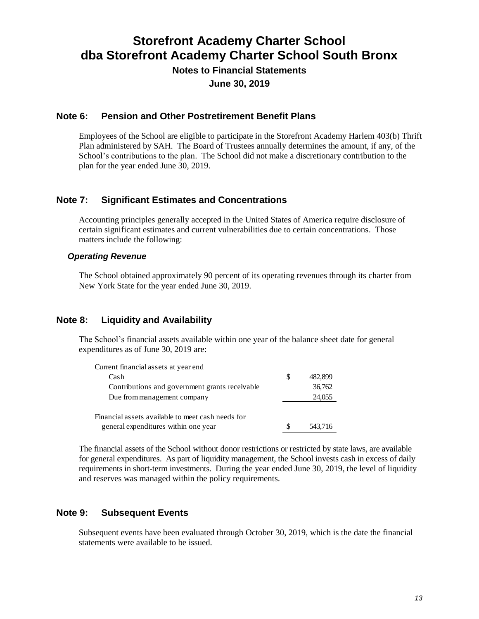**Notes to Financial Statements**

**June 30, 2019**

### **Note 6: Pension and Other Postretirement Benefit Plans**

Employees of the School are eligible to participate in the Storefront Academy Harlem 403(b) Thrift Plan administered by SAH. The Board of Trustees annually determines the amount, if any, of the School's contributions to the plan. The School did not make a discretionary contribution to the plan for the year ended June 30, 2019.

# **Note 7: Significant Estimates and Concentrations**

Accounting principles generally accepted in the United States of America require disclosure of certain significant estimates and current vulnerabilities due to certain concentrations. Those matters include the following:

### *Operating Revenue*

The School obtained approximately 90 percent of its operating revenues through its charter from New York State for the year ended June 30, 2019.

# **Note 8: Liquidity and Availability**

The School's financial assets available within one year of the balance sheet date for general expenditures as of June 30, 2019 are:

| Current financial assets at year end              |               |
|---------------------------------------------------|---------------|
| Cash                                              | \$<br>482,899 |
| Contributions and government grants receivable    | 36,762        |
| Due from management company                       | 24,055        |
|                                                   |               |
| Financial assets available to meet cash needs for |               |
| general expenditures within one year              | 543,716       |

The financial assets of the School without donor restrictions or restricted by state laws, are available for general expenditures. As part of liquidity management, the School invests cash in excess of daily requirements in short-term investments. During the year ended June 30, 2019, the level of liquidity and reserves was managed within the policy requirements.

# **Note 9: Subsequent Events**

Subsequent events have been evaluated through October 30, 2019, which is the date the financial statements were available to be issued.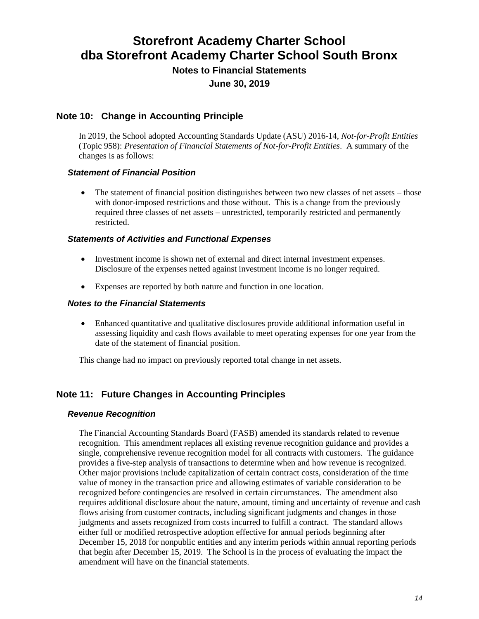**Notes to Financial Statements**

**June 30, 2019**

# **Note 10: Change in Accounting Principle**

In 2019, the School adopted Accounting Standards Update (ASU) 2016-14, *Not-for-Profit Entities* (Topic 958): *Presentation of Financial Statements of Not-for-Profit Entities*. A summary of the changes is as follows:

### *Statement of Financial Position*

• The statement of financial position distinguishes between two new classes of net assets – those with donor-imposed restrictions and those without. This is a change from the previously required three classes of net assets – unrestricted, temporarily restricted and permanently restricted.

### *Statements of Activities and Functional Expenses*

- Investment income is shown net of external and direct internal investment expenses. Disclosure of the expenses netted against investment income is no longer required.
- Expenses are reported by both nature and function in one location.

### *Notes to the Financial Statements*

• Enhanced quantitative and qualitative disclosures provide additional information useful in assessing liquidity and cash flows available to meet operating expenses for one year from the date of the statement of financial position.

This change had no impact on previously reported total change in net assets.

# **Note 11: Future Changes in Accounting Principles**

### *Revenue Recognition*

The Financial Accounting Standards Board (FASB) amended its standards related to revenue recognition. This amendment replaces all existing revenue recognition guidance and provides a single, comprehensive revenue recognition model for all contracts with customers. The guidance provides a five-step analysis of transactions to determine when and how revenue is recognized. Other major provisions include capitalization of certain contract costs, consideration of the time value of money in the transaction price and allowing estimates of variable consideration to be recognized before contingencies are resolved in certain circumstances. The amendment also requires additional disclosure about the nature, amount, timing and uncertainty of revenue and cash flows arising from customer contracts, including significant judgments and changes in those judgments and assets recognized from costs incurred to fulfill a contract. The standard allows either full or modified retrospective adoption effective for annual periods beginning after December 15, 2018 for nonpublic entities and any interim periods within annual reporting periods that begin after December 15, 2019. The School is in the process of evaluating the impact the amendment will have on the financial statements.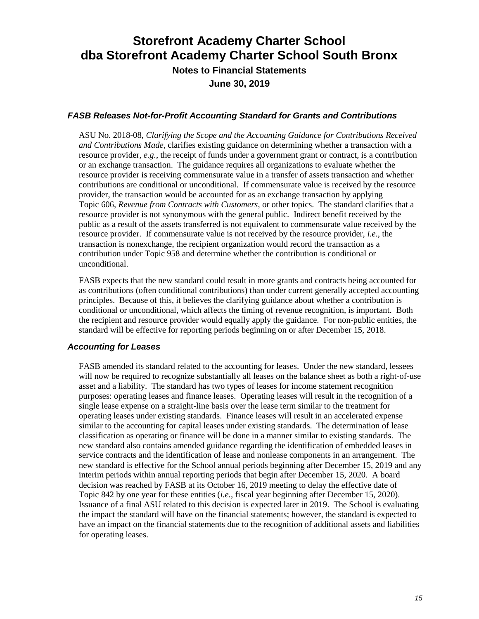# **Storefront Academy Charter School dba Storefront Academy Charter School South Bronx Notes to Financial Statements June 30, 2019**

#### *FASB Releases Not-for-Profit Accounting Standard for Grants and Contributions*

ASU No. 2018-08, *Clarifying the Scope and the Accounting Guidance for Contributions Received and Contributions Made*, clarifies existing guidance on determining whether a transaction with a resource provider, *e.g.*, the receipt of funds under a government grant or contract, is a contribution or an exchange transaction. The guidance requires all organizations to evaluate whether the resource provider is receiving commensurate value in a transfer of assets transaction and whether contributions are conditional or unconditional. If commensurate value is received by the resource provider, the transaction would be accounted for as an exchange transaction by applying Topic 606, *Revenue from Contracts with Customers*, or other topics. The standard clarifies that a resource provider is not synonymous with the general public. Indirect benefit received by the public as a result of the assets transferred is not equivalent to commensurate value received by the resource provider. If commensurate value is not received by the resource provider, *i.e.*, the transaction is nonexchange, the recipient organization would record the transaction as a contribution under Topic 958 and determine whether the contribution is conditional or unconditional.

FASB expects that the new standard could result in more grants and contracts being accounted for as contributions (often conditional contributions) than under current generally accepted accounting principles. Because of this, it believes the clarifying guidance about whether a contribution is conditional or unconditional, which affects the timing of revenue recognition, is important. Both the recipient and resource provider would equally apply the guidance. For non-public entities, the standard will be effective for reporting periods beginning on or after December 15, 2018.

### *Accounting for Leases*

FASB amended its standard related to the accounting for leases. Under the new standard, lessees will now be required to recognize substantially all leases on the balance sheet as both a right-of-use asset and a liability. The standard has two types of leases for income statement recognition purposes: operating leases and finance leases. Operating leases will result in the recognition of a single lease expense on a straight-line basis over the lease term similar to the treatment for operating leases under existing standards. Finance leases will result in an accelerated expense similar to the accounting for capital leases under existing standards. The determination of lease classification as operating or finance will be done in a manner similar to existing standards. The new standard also contains amended guidance regarding the identification of embedded leases in service contracts and the identification of lease and nonlease components in an arrangement. The new standard is effective for the School annual periods beginning after December 15, 2019 and any interim periods within annual reporting periods that begin after December 15, 2020. A board decision was reached by FASB at its October 16, 2019 meeting to delay the effective date of Topic 842 by one year for these entities (*i.e.*, fiscal year beginning after December 15, 2020). Issuance of a final ASU related to this decision is expected later in 2019. The School is evaluating the impact the standard will have on the financial statements; however, the standard is expected to have an impact on the financial statements due to the recognition of additional assets and liabilities for operating leases.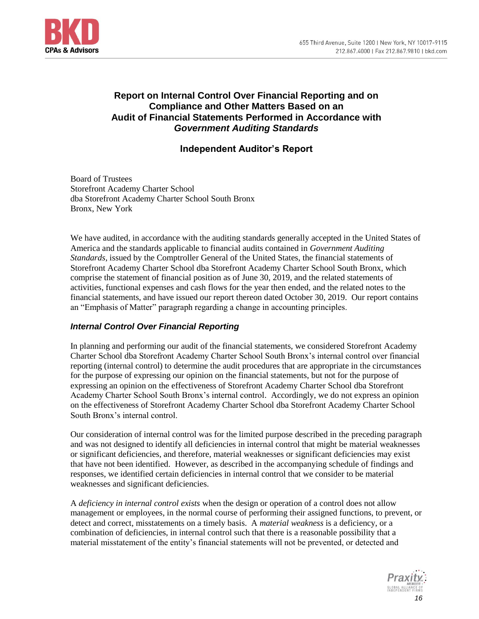

# <span id="page-17-0"></span>**Report on Internal Control Over Financial Reporting and on Compliance and Other Matters Based on an Audit of Financial Statements Performed in Accordance with** *Government Auditing Standards*

# **Independent Auditor's Report**

Board of Trustees Storefront Academy Charter School dba Storefront Academy Charter School South Bronx Bronx, New York

We have audited, in accordance with the auditing standards generally accepted in the United States of America and the standards applicable to financial audits contained in *Government Auditing Standards,* issued by the Comptroller General of the United States, the financial statements of Storefront Academy Charter School dba Storefront Academy Charter School South Bronx, which comprise the statement of financial position as of June 30, 2019, and the related statements of activities, functional expenses and cash flows for the year then ended, and the related notes to the financial statements, and have issued our report thereon dated October 30, 2019. Our report contains an "Emphasis of Matter" paragraph regarding a change in accounting principles.

# *Internal Control Over Financial Reporting*

In planning and performing our audit of the financial statements, we considered Storefront Academy Charter School dba Storefront Academy Charter School South Bronx's internal control over financial reporting (internal control) to determine the audit procedures that are appropriate in the circumstances for the purpose of expressing our opinion on the financial statements, but not for the purpose of expressing an opinion on the effectiveness of Storefront Academy Charter School dba Storefront Academy Charter School South Bronx's internal control. Accordingly, we do not express an opinion on the effectiveness of Storefront Academy Charter School dba Storefront Academy Charter School South Bronx's internal control.

Our consideration of internal control was for the limited purpose described in the preceding paragraph and was not designed to identify all deficiencies in internal control that might be material weaknesses or significant deficiencies, and therefore, material weaknesses or significant deficiencies may exist that have not been identified. However, as described in the accompanying schedule of findings and responses, we identified certain deficiencies in internal control that we consider to be material weaknesses and significant deficiencies.

A *deficiency in internal control exists* when the design or operation of a control does not allow management or employees, in the normal course of performing their assigned functions, to prevent, or detect and correct, misstatements on a timely basis. A *material weakness* is a deficiency, or a combination of deficiencies, in internal control such that there is a reasonable possibility that a material misstatement of the entity's financial statements will not be prevented, or detected and

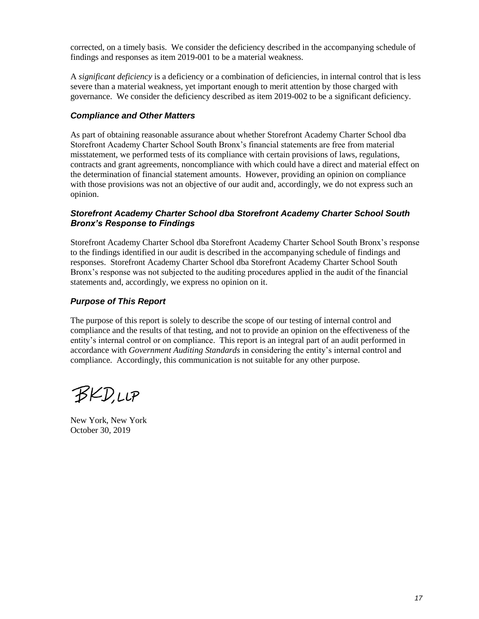corrected, on a timely basis. We consider the deficiency described in the accompanying schedule of findings and responses as item 2019-001 to be a material weakness.

A *significant deficiency* is a deficiency or a combination of deficiencies, in internal control that is less severe than a material weakness, yet important enough to merit attention by those charged with governance. We consider the deficiency described as item 2019-002 to be a significant deficiency.

### *Compliance and Other Matters*

As part of obtaining reasonable assurance about whether Storefront Academy Charter School dba Storefront Academy Charter School South Bronx's financial statements are free from material misstatement, we performed tests of its compliance with certain provisions of laws, regulations, contracts and grant agreements, noncompliance with which could have a direct and material effect on the determination of financial statement amounts. However, providing an opinion on compliance with those provisions was not an objective of our audit and, accordingly, we do not express such an opinion.

### *Storefront Academy Charter School dba Storefront Academy Charter School South Bronx's Response to Findings*

Storefront Academy Charter School dba Storefront Academy Charter School South Bronx's response to the findings identified in our audit is described in the accompanying schedule of findings and responses. Storefront Academy Charter School dba Storefront Academy Charter School South Bronx's response was not subjected to the auditing procedures applied in the audit of the financial statements and, accordingly, we express no opinion on it.

### *Purpose of This Report*

The purpose of this report is solely to describe the scope of our testing of internal control and compliance and the results of that testing, and not to provide an opinion on the effectiveness of the entity's internal control or on compliance. This report is an integral part of an audit performed in accordance with *Government Auditing Standards* in considering the entity's internal control and compliance. Accordingly, this communication is not suitable for any other purpose.

BKDLLP

New York, New York October 30, 2019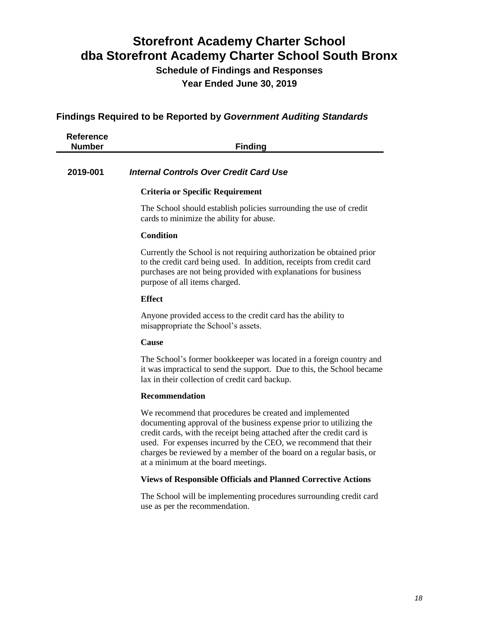<span id="page-19-0"></span>**Schedule of Findings and Responses Year Ended June 30, 2019**

# **Findings Required to be Reported by** *Government Auditing Standards*

| Reference<br><b>Number</b> | <b>Finding</b>                                                                                                                                                                                                                                                                                                                                                                            |
|----------------------------|-------------------------------------------------------------------------------------------------------------------------------------------------------------------------------------------------------------------------------------------------------------------------------------------------------------------------------------------------------------------------------------------|
| 2019-001                   | <b>Internal Controls Over Credit Card Use</b>                                                                                                                                                                                                                                                                                                                                             |
|                            | <b>Criteria or Specific Requirement</b>                                                                                                                                                                                                                                                                                                                                                   |
|                            | The School should establish policies surrounding the use of credit<br>cards to minimize the ability for abuse.                                                                                                                                                                                                                                                                            |
|                            | <b>Condition</b>                                                                                                                                                                                                                                                                                                                                                                          |
|                            | Currently the School is not requiring authorization be obtained prior<br>to the credit card being used. In addition, receipts from credit card<br>purchases are not being provided with explanations for business<br>purpose of all items charged.                                                                                                                                        |
|                            | <b>Effect</b>                                                                                                                                                                                                                                                                                                                                                                             |
|                            | Anyone provided access to the credit card has the ability to<br>misappropriate the School's assets.                                                                                                                                                                                                                                                                                       |
|                            | <b>Cause</b>                                                                                                                                                                                                                                                                                                                                                                              |
|                            | The School's former bookkeeper was located in a foreign country and<br>it was impractical to send the support. Due to this, the School became<br>lax in their collection of credit card backup.                                                                                                                                                                                           |
|                            | Recommendation                                                                                                                                                                                                                                                                                                                                                                            |
|                            | We recommend that procedures be created and implemented<br>documenting approval of the business expense prior to utilizing the<br>credit cards, with the receipt being attached after the credit card is<br>used. For expenses incurred by the CEO, we recommend that their<br>charges be reviewed by a member of the board on a regular basis, or<br>at a minimum at the board meetings. |
|                            | <b>Views of Responsible Officials and Planned Corrective Actions</b>                                                                                                                                                                                                                                                                                                                      |
|                            | The School will be implementing procedures surrounding credit card<br>use as per the recommendation.                                                                                                                                                                                                                                                                                      |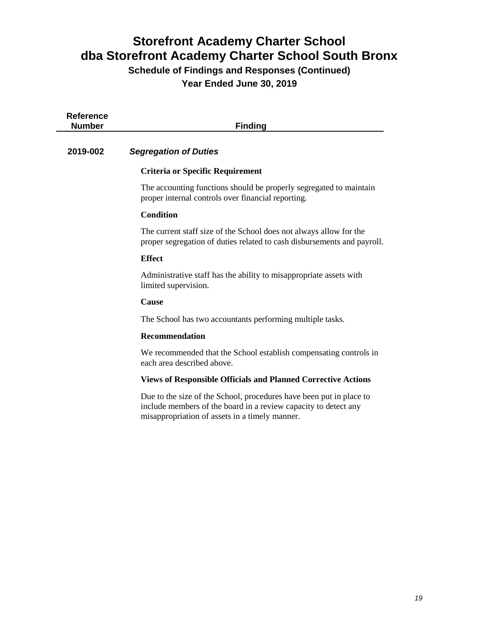**Schedule of Findings and Responses (Continued) Year Ended June 30, 2019**

| <b>Reference</b><br><b>Number</b> | <b>Finding</b>                                                                                                                                                                           |
|-----------------------------------|------------------------------------------------------------------------------------------------------------------------------------------------------------------------------------------|
| 2019-002                          | <b>Segregation of Duties</b>                                                                                                                                                             |
|                                   | <b>Criteria or Specific Requirement</b>                                                                                                                                                  |
|                                   | The accounting functions should be properly segregated to maintain<br>proper internal controls over financial reporting.                                                                 |
|                                   | <b>Condition</b>                                                                                                                                                                         |
|                                   | The current staff size of the School does not always allow for the<br>proper segregation of duties related to cash disbursements and payroll.                                            |
|                                   | <b>Effect</b>                                                                                                                                                                            |
|                                   | Administrative staff has the ability to misappropriate assets with<br>limited supervision.                                                                                               |
|                                   | <b>Cause</b>                                                                                                                                                                             |
|                                   | The School has two accountants performing multiple tasks.                                                                                                                                |
|                                   | <b>Recommendation</b>                                                                                                                                                                    |
|                                   | We recommended that the School establish compensating controls in<br>each area described above.                                                                                          |
|                                   | <b>Views of Responsible Officials and Planned Corrective Actions</b>                                                                                                                     |
|                                   | Due to the size of the School, procedures have been put in place to<br>include members of the board in a review capacity to detect any<br>misappropriation of assets in a timely manner. |
|                                   |                                                                                                                                                                                          |